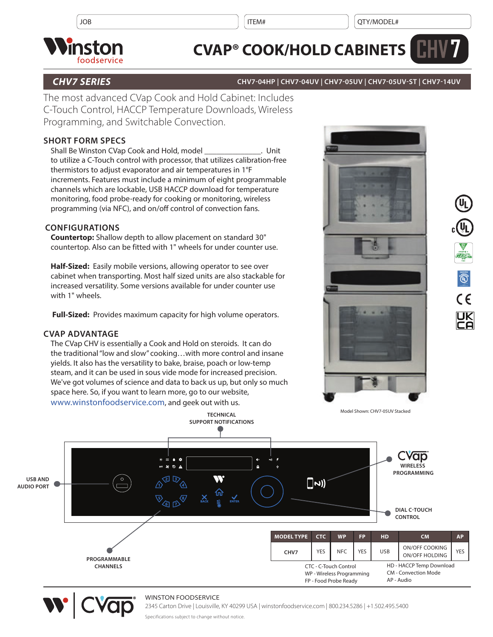

# **CVAP® COOK/HOLD CABINETS**

# *CHV7 SERIES* **CHV7-04HP | CHV7-04UV | CHV7-05UV | CHV7-05UV-ST | CHV7-14UV**

The most advanced CVap Cook and Hold Cabinet: Includes C-Touch Control, HACCP Temperature Downloads, Wireless Programming, and Switchable Convection.

# **SHORT FORM SPECS**

Shall Be Winston CVap Cook and Hold, model **Shall Be Winston CVap Cook and Hold**, model to utilize a C-Touch control with processor, that utilizes calibration-free thermistors to adjust evaporator and air temperatures in 1°F increments. Features must include a minimum of eight programmable channels which are lockable, USB HACCP download for temperature monitoring, food probe-ready for cooking or monitoring, wireless programming (via NFC), and on/off control of convection fans.

# **CONFIGURATIONS**

**Countertop:** Shallow depth to allow placement on standard 30" countertop. Also can be fitted with 1" wheels for under counter use.

**Half-Sized:** Easily mobile versions, allowing operator to see over cabinet when transporting. Most half sized units are also stackable for increased versatility. Some versions available for under counter use with 1" wheels.

**Full-Sized:** Provides maximum capacity for high volume operators.

## **CVAP ADVANTAGE**

The CVap CHV is essentially a Cook and Hold on steroids. It can do the traditional "low and slow" cooking…with more control and insane yields. It also has the versatility to bake, braise, poach or low-temp steam, and it can be used in sous vide mode for increased precision. We've got volumes of science and data to back us up, but only so much space here. So, if you want to learn more, go to our website, [www.winstonfoodservice.com,](https://foodservice.winstonind.com/) and geek out with us.





**7**

Model Shown: CHV7-05UV Stacked



## WINSTON FOODSERVICE

2345 Carton Drive | Louisville, KY 40299 USA | winstonfoodservice.com | 800.234.5286 | +1.502.495.5400

Specifications subject to change without notice.